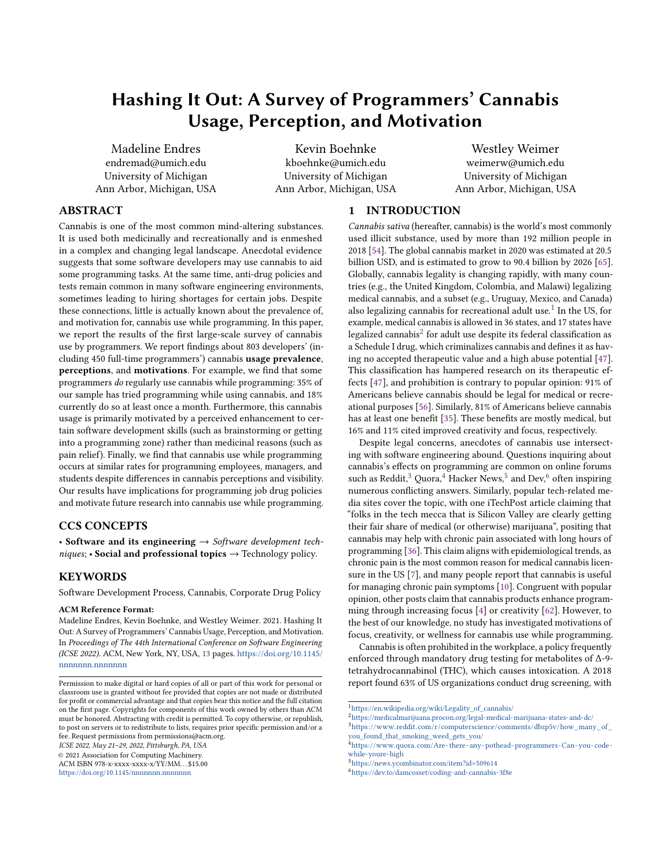# Hashing It Out: A Survey of Programmers' Cannabis Usage, Perception, and Motivation

Madeline Endres endremad@umich.edu University of Michigan Ann Arbor, Michigan, USA

Kevin Boehnke kboehnke@umich.edu University of Michigan Ann Arbor, Michigan, USA

Westley Weimer weimerw@umich.edu University of Michigan Ann Arbor, Michigan, USA

# ABSTRACT

Cannabis is one of the most common mind-altering substances. It is used both medicinally and recreationally and is enmeshed in a complex and changing legal landscape. Anecdotal evidence suggests that some software developers may use cannabis to aid some programming tasks. At the same time, anti-drug policies and tests remain common in many software engineering environments, sometimes leading to hiring shortages for certain jobs. Despite these connections, little is actually known about the prevalence of, and motivation for, cannabis use while programming. In this paper, we report the results of the first large-scale survey of cannabis use by programmers. We report findings about 803 developers' (including 450 full-time programmers') cannabis usage prevalence, perceptions, and motivations. For example, we find that some programmers do regularly use cannabis while programming: 35% of our sample has tried programming while using cannabis, and 18% currently do so at least once a month. Furthermore, this cannabis usage is primarily motivated by a perceived enhancement to certain software development skills (such as brainstorming or getting into a programming zone) rather than medicinal reasons (such as pain relief). Finally, we find that cannabis use while programming occurs at similar rates for programming employees, managers, and students despite differences in cannabis perceptions and visibility. Our results have implications for programming job drug policies and motivate future research into cannabis use while programming.

### CCS CONCEPTS

• Software and its engineering  $\rightarrow$  Software development techniques; • Social and professional topics  $\rightarrow$  Technology policy.

# **KEYWORDS**

Software Development Process, Cannabis, Corporate Drug Policy

#### ACM Reference Format:

Madeline Endres, Kevin Boehnke, and Westley Weimer. 2021. Hashing It Out: A Survey of Programmers' Cannabis Usage, Perception, and Motivation. In Proceedings of The 44th International Conference on Software Engineering (ICSE 2022). ACM, New York, NY, USA, [13](#page-12-0) pages. [https://doi.org/10.1145/](https://doi.org/10.1145/nnnnnnn.nnnnnnn) [nnnnnnn.nnnnnnn](https://doi.org/10.1145/nnnnnnn.nnnnnnn)

ICSE 2022, May 21–29, 2022, Pittsburgh, PA, USA

© 2021 Association for Computing Machinery.

ACM ISBN 978-x-xxxx-xxxx-x/YY/MM. . . \$15.00 <https://doi.org/10.1145/nnnnnnn.nnnnnnn>

1 INTRODUCTION

Cannabis sativa (hereafter, cannabis) is the world's most commonly used illicit substance, used by more than 192 million people in 2018 [\[54\]](#page-12-1). The global cannabis market in 2020 was estimated at 20.5 billion USD, and is estimated to grow to 90.4 billion by 2026 [\[65\]](#page-12-2). Globally, cannabis legality is changing rapidly, with many countries (e.g., the United Kingdom, Colombia, and Malawi) legalizing medical cannabis, and a subset (e.g., Uruguay, Mexico, and Canada) also legalizing cannabis for recreational adult use.<sup>[1](#page-0-0)</sup> In the US, for example, medical cannabis is allowed in 36 states, and 17 states have legalized cannabis $^2$  $^2$  for adult use despite its federal classification as a Schedule I drug, which criminalizes cannabis and defines it as having no accepted therapeutic value and a high abuse potential [\[47\]](#page-11-0). This classification has hampered research on its therapeutic effects [\[47\]](#page-11-0), and prohibition is contrary to popular opinion: 91% of Americans believe cannabis should be legal for medical or recreational purposes [\[56\]](#page-12-3). Similarly, 81% of Americans believe cannabis has at least one benefit [\[35\]](#page-11-1). These benefits are mostly medical, but 16% and 11% cited improved creativity and focus, respectively.

Despite legal concerns, anecdotes of cannabis use intersecting with software engineering abound. Questions inquiring about cannabis's effects on programming are common on online forums such as Reddit, $^3$  $^3$  Quora, $^4$  $^4$  Hacker News, $^5$  $^5$  and Dev, $^6$  $^6$  often inspiring numerous conflicting answers. Similarly, popular tech-related media sites cover the topic, with one iTechPost article claiming that "folks in the tech mecca that is Silicon Valley are clearly getting their fair share of medical (or otherwise) marijuana", positing that cannabis may help with chronic pain associated with long hours of programming [\[36\]](#page-11-2). This claim aligns with epidemiological trends, as chronic pain is the most common reason for medical cannabis licensure in the US [\[7\]](#page-10-0), and many people report that cannabis is useful for managing chronic pain symptoms [\[10\]](#page-11-3). Congruent with popular opinion, other posts claim that cannabis products enhance programming through increasing focus [\[4\]](#page-10-1) or creativity [\[62\]](#page-12-4). However, to the best of our knowledge, no study has investigated motivations of focus, creativity, or wellness for cannabis use while programming.

Cannabis is often prohibited in the workplace, a policy frequently enforced through mandatory drug testing for metabolites of Δ-9 tetrahydrocannabinol (THC), which causes intoxication. A 2018 report found 63% of US organizations conduct drug screening, with

Permission to make digital or hard copies of all or part of this work for personal or classroom use is granted without fee provided that copies are not made or distributed for profit or commercial advantage and that copies bear this notice and the full citation on the first page. Copyrights for components of this work owned by others than ACM must be honored. Abstracting with credit is permitted. To copy otherwise, or republish, to post on servers or to redistribute to lists, requires prior specific permission and/or a fee. Request permissions from permissions@acm.org.

<span id="page-0-0"></span> $^1$ [https://en.wikipedia.org/wiki/Legality\\_of\\_cannabis/](https://en.wikipedia.org/wiki/Legality_of_cannabis/)

<span id="page-0-1"></span><sup>2</sup><https://medicalmarijuana.procon.org/legal-medical-marijuana-states-and-dc/>

<span id="page-0-2"></span><sup>3</sup>[https://www.reddit.com/r/computerscience/comments/dbzp5v/how\\_many\\_of\\_](https://www.reddit.com/r/computerscience/comments/dbzp5v/how_many_of_you_found_that_smoking_weed_gets_you/)

<span id="page-0-3"></span>[you\\_found\\_that\\_smoking\\_weed\\_gets\\_you/](https://www.reddit.com/r/computerscience/comments/dbzp5v/how_many_of_you_found_that_smoking_weed_gets_you/) <sup>4</sup>[https://www.quora.com/Are- there- any- pothead- programmers-Can- you- code](https://www.quora.com/Are-there-any-pothead-programmers-Can-you-code-while-youre-high)[while-youre-high](https://www.quora.com/Are-there-any-pothead-programmers-Can-you-code-while-youre-high)

<span id="page-0-4"></span><sup>5</sup><https://news.ycombinator.com/item?id=509614>

<span id="page-0-5"></span><sup>6</sup><https://dev.to/damcosset/coding-and-cannabis-3f8e>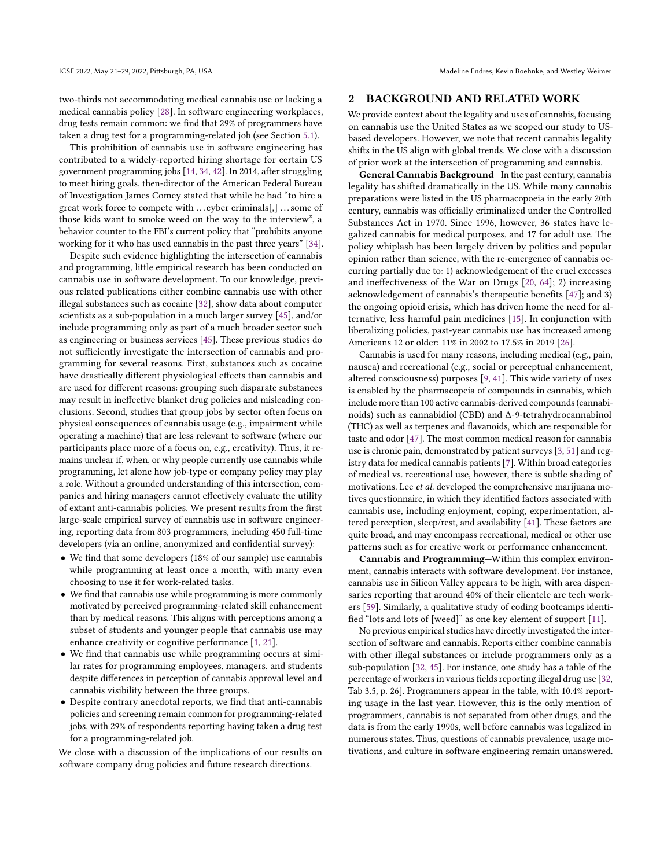two-thirds not accommodating medical cannabis use or lacking a medical cannabis policy [\[28\]](#page-11-4). In software engineering workplaces, drug tests remain common: we find that 29% of programmers have taken a drug test for a programming-related job (see Section [5.1\)](#page-5-0).

This prohibition of cannabis use in software engineering has contributed to a widely-reported hiring shortage for certain US government programming jobs [\[14,](#page-11-5) [34,](#page-11-6) [42\]](#page-11-7). In 2014, after struggling to meet hiring goals, then-director of the American Federal Bureau of Investigation James Comey stated that while he had "to hire a great work force to compete with . . . cyber criminals[,] . . . some of those kids want to smoke weed on the way to the interview", a behavior counter to the FBI's current policy that "prohibits anyone working for it who has used cannabis in the past three years" [\[34\]](#page-11-6).

Despite such evidence highlighting the intersection of cannabis and programming, little empirical research has been conducted on cannabis use in software development. To our knowledge, previous related publications either combine cannabis use with other illegal substances such as cocaine [\[32\]](#page-11-8), show data about computer scientists as a sub-population in a much larger survey [\[45\]](#page-11-9), and/or include programming only as part of a much broader sector such as engineering or business services [\[45\]](#page-11-9). These previous studies do not sufficiently investigate the intersection of cannabis and programming for several reasons. First, substances such as cocaine have drastically different physiological effects than cannabis and are used for different reasons: grouping such disparate substances may result in ineffective blanket drug policies and misleading conclusions. Second, studies that group jobs by sector often focus on physical consequences of cannabis usage (e.g., impairment while operating a machine) that are less relevant to software (where our participants place more of a focus on, e.g., creativity). Thus, it remains unclear if, when, or why people currently use cannabis while programming, let alone how job-type or company policy may play a role. Without a grounded understanding of this intersection, companies and hiring managers cannot effectively evaluate the utility of extant anti-cannabis policies. We present results from the first large-scale empirical survey of cannabis use in software engineering, reporting data from 803 programmers, including 450 full-time developers (via an online, anonymized and confidential survey):

- We find that some developers (18% of our sample) use cannabis while programming at least once a month, with many even choosing to use it for work-related tasks.
- We find that cannabis use while programming is more commonly motivated by perceived programming-related skill enhancement than by medical reasons. This aligns with perceptions among a subset of students and younger people that cannabis use may enhance creativity or cognitive performance [\[1,](#page-10-2) [21\]](#page-11-10).
- We find that cannabis use while programming occurs at similar rates for programming employees, managers, and students despite differences in perception of cannabis approval level and cannabis visibility between the three groups.
- Despite contrary anecdotal reports, we find that anti-cannabis policies and screening remain common for programming-related jobs, with 29% of respondents reporting having taken a drug test for a programming-related job.

We close with a discussion of the implications of our results on software company drug policies and future research directions.

#### <span id="page-1-0"></span>2 BACKGROUND AND RELATED WORK

We provide context about the legality and uses of cannabis, focusing on cannabis use the United States as we scoped our study to USbased developers. However, we note that recent cannabis legality shifts in the US align with global trends. We close with a discussion of prior work at the intersection of programming and cannabis.

General Cannabis Background—In the past century, cannabis legality has shifted dramatically in the US. While many cannabis preparations were listed in the US pharmacopoeia in the early 20th century, cannabis was officially criminalized under the Controlled Substances Act in 1970. Since 1996, however, 36 states have legalized cannabis for medical purposes, and 17 for adult use. The policy whiplash has been largely driven by politics and popular opinion rather than science, with the re-emergence of cannabis occurring partially due to: 1) acknowledgement of the cruel excesses and ineffectiveness of the War on Drugs [\[20,](#page-11-11) [64\]](#page-12-5); 2) increasing acknowledgement of cannabis's therapeutic benefits [\[47\]](#page-11-0); and 3) the ongoing opioid crisis, which has driven home the need for alternative, less harmful pain medicines [\[15\]](#page-11-12). In conjunction with liberalizing policies, past-year cannabis use has increased among Americans 12 or older: 11% in 2002 to 17.5% in 2019 [\[26\]](#page-11-13).

Cannabis is used for many reasons, including medical (e.g., pain, nausea) and recreational (e.g., social or perceptual enhancement, altered consciousness) purposes [\[9,](#page-10-3) [41\]](#page-11-14). This wide variety of uses is enabled by the pharmacopeia of compounds in cannabis, which include more than 100 active cannabis-derived compounds (cannabinoids) such as cannabidiol (CBD) and Δ-9-tetrahydrocannabinol (THC) as well as terpenes and flavanoids, which are responsible for taste and odor [\[47\]](#page-11-0). The most common medical reason for cannabis use is chronic pain, demonstrated by patient surveys [\[3,](#page-10-4) [51\]](#page-11-15) and registry data for medical cannabis patients [\[7\]](#page-10-0). Within broad categories of medical vs. recreational use, however, there is subtle shading of motivations. Lee et al. developed the comprehensive marijuana motives questionnaire, in which they identified factors associated with cannabis use, including enjoyment, coping, experimentation, altered perception, sleep/rest, and availability [\[41\]](#page-11-14). These factors are quite broad, and may encompass recreational, medical or other use patterns such as for creative work or performance enhancement.

Cannabis and Programming—Within this complex environment, cannabis interacts with software development. For instance, cannabis use in Silicon Valley appears to be high, with area dispensaries reporting that around 40% of their clientele are tech workers [\[59\]](#page-12-6). Similarly, a qualitative study of coding bootcamps identified "lots and lots of [weed]" as one key element of support [\[11\]](#page-11-16).

No previous empirical studies have directly investigated the intersection of software and cannabis. Reports either combine cannabis with other illegal substances or include programmers only as a sub-population [\[32,](#page-11-8) [45\]](#page-11-9). For instance, one study has a table of the percentage of workers in various fields reporting illegal drug use [\[32,](#page-11-8) Tab 3.5, p. 26]. Programmers appear in the table, with 10.4% reporting usage in the last year. However, this is the only mention of programmers, cannabis is not separated from other drugs, and the data is from the early 1990s, well before cannabis was legalized in numerous states. Thus, questions of cannabis prevalence, usage motivations, and culture in software engineering remain unanswered.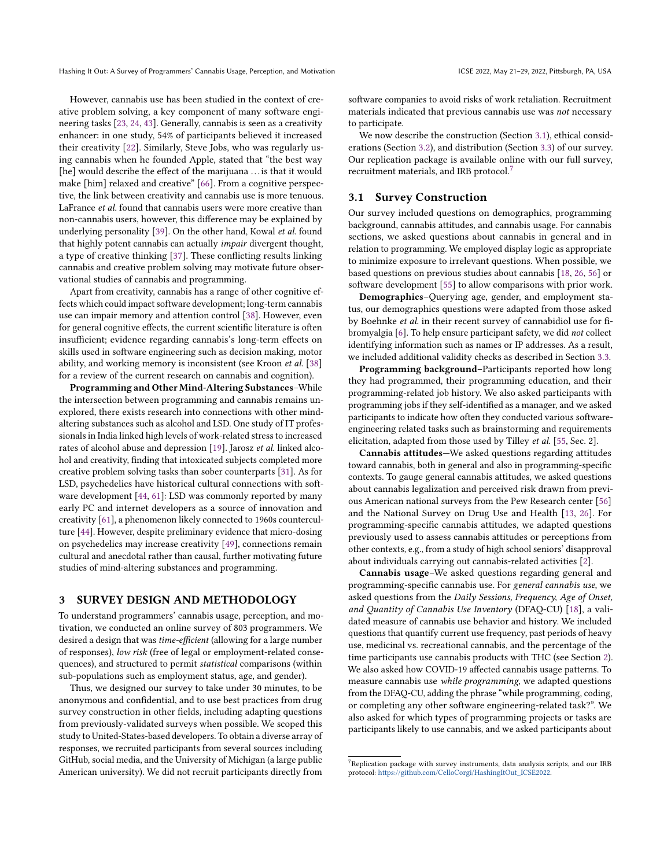However, cannabis use has been studied in the context of creative problem solving, a key component of many software engineering tasks [\[23,](#page-11-17) [24,](#page-11-18) [43\]](#page-11-19). Generally, cannabis is seen as a creativity enhancer: in one study, 54% of participants believed it increased their creativity [\[22\]](#page-11-20). Similarly, Steve Jobs, who was regularly using cannabis when he founded Apple, stated that "the best way [he] would describe the effect of the marijuana ... is that it would make [him] relaxed and creative" [\[66\]](#page-12-7). From a cognitive perspective, the link between creativity and cannabis use is more tenuous. LaFrance et al. found that cannabis users were more creative than non-cannabis users, however, this difference may be explained by underlying personality [\[39\]](#page-11-21). On the other hand, Kowal et al. found that highly potent cannabis can actually impair divergent thought, a type of creative thinking [\[37\]](#page-11-22). These conflicting results linking cannabis and creative problem solving may motivate future observational studies of cannabis and programming.

Apart from creativity, cannabis has a range of other cognitive effects which could impact software development; long-term cannabis use can impair memory and attention control [\[38\]](#page-11-23). However, even for general cognitive effects, the current scientific literature is often insufficient; evidence regarding cannabis's long-term effects on skills used in software engineering such as decision making, motor ability, and working memory is inconsistent (see Kroon et al. [\[38\]](#page-11-23) for a review of the current research on cannabis and cognition).

Programming and Other Mind-Altering Substances–While the intersection between programming and cannabis remains unexplored, there exists research into connections with other mindaltering substances such as alcohol and LSD. One study of IT professionals in India linked high levels of work-related stress to increased rates of alcohol abuse and depression [\[19\]](#page-11-24). Jarosz et al. linked alcohol and creativity, finding that intoxicated subjects completed more creative problem solving tasks than sober counterparts [\[31\]](#page-11-25). As for LSD, psychedelics have historical cultural connections with software development [\[44,](#page-11-26) [61\]](#page-12-8): LSD was commonly reported by many early PC and internet developers as a source of innovation and creativity [\[61\]](#page-12-8), a phenomenon likely connected to 1960s counterculture [\[44\]](#page-11-26). However, despite preliminary evidence that micro-dosing on psychedelics may increase creativity [\[49\]](#page-11-27), connections remain cultural and anecdotal rather than causal, further motivating future studies of mind-altering substances and programming.

## <span id="page-2-2"></span>3 SURVEY DESIGN AND METHODOLOGY

To understand programmers' cannabis usage, perception, and motivation, we conducted an online survey of 803 programmers. We desired a design that was time-efficient (allowing for a large number of responses), low risk (free of legal or employment-related consequences), and structured to permit statistical comparisons (within sub-populations such as employment status, age, and gender).

Thus, we designed our survey to take under 30 minutes, to be anonymous and confidential, and to use best practices from drug survey construction in other fields, including adapting questions from previously-validated surveys when possible. We scoped this study to United-States-based developers. To obtain a diverse array of responses, we recruited participants from several sources including GitHub, social media, and the University of Michigan (a large public American university). We did not recruit participants directly from

software companies to avoid risks of work retaliation. Recruitment materials indicated that previous cannabis use was not necessary to participate.

We now describe the construction (Section [3.1\)](#page-2-0), ethical considerations (Section [3.2\)](#page-3-0), and distribution (Section [3.3\)](#page-3-1) of our survey. Our replication package is available online with our full survey, recruitment materials, and IRB protocol.[7](#page-2-1)

# <span id="page-2-0"></span>3.1 Survey Construction

Our survey included questions on demographics, programming background, cannabis attitudes, and cannabis usage. For cannabis sections, we asked questions about cannabis in general and in relation to programming. We employed display logic as appropriate to minimize exposure to irrelevant questions. When possible, we based questions on previous studies about cannabis [\[18,](#page-11-28) [26,](#page-11-13) [56\]](#page-12-3) or software development [\[55\]](#page-12-9) to allow comparisons with prior work.

Demographics–Querying age, gender, and employment status, our demographics questions were adapted from those asked by Boehnke et al. in their recent survey of cannabidiol use for fibromyalgia [\[6\]](#page-10-5). To help ensure participant safety, we did not collect identifying information such as names or IP addresses. As a result, we included additional validity checks as described in Section [3.3.](#page-3-1)

Programming background–Participants reported how long they had programmed, their programming education, and their programming-related job history. We also asked participants with programming jobs if they self-identified as a manager, and we asked participants to indicate how often they conducted various softwareengineering related tasks such as brainstorming and requirements elicitation, adapted from those used by Tilley et al. [\[55,](#page-12-9) Sec. 2].

Cannabis attitudes—We asked questions regarding attitudes toward cannabis, both in general and also in programming-specific contexts. To gauge general cannabis attitudes, we asked questions about cannabis legalization and perceived risk drawn from previous American national surveys from the Pew Research center [\[56\]](#page-12-3) and the National Survey on Drug Use and Health [\[13,](#page-11-29) [26\]](#page-11-13). For programming-specific cannabis attitudes, we adapted questions previously used to assess cannabis attitudes or perceptions from other contexts, e.g., from a study of high school seniors' disapproval about individuals carrying out cannabis-related activities [\[2\]](#page-10-6).

Cannabis usage–We asked questions regarding general and programming-specific cannabis use. For general cannabis use, we asked questions from the Daily Sessions, Frequency, Age of Onset, and Quantity of Cannabis Use Inventory (DFAQ-CU) [\[18\]](#page-11-28), a validated measure of cannabis use behavior and history. We included questions that quantify current use frequency, past periods of heavy use, medicinal vs. recreational cannabis, and the percentage of the time participants use cannabis products with THC (see Section [2\)](#page-1-0). We also asked how COVID-19 affected cannabis usage patterns. To measure cannabis use while programming, we adapted questions from the DFAQ-CU, adding the phrase "while programming, coding, or completing any other software engineering-related task?". We also asked for which types of programming projects or tasks are participants likely to use cannabis, and we asked participants about

<span id="page-2-1"></span><sup>7</sup>Replication package with survey instruments, data analysis scripts, and our IRB protocol: [https://github.com/CelloCorgi/HashingItOut\\_ICSE2022.](https://github.com/CelloCorgi/HashingItOut_ICSE2022)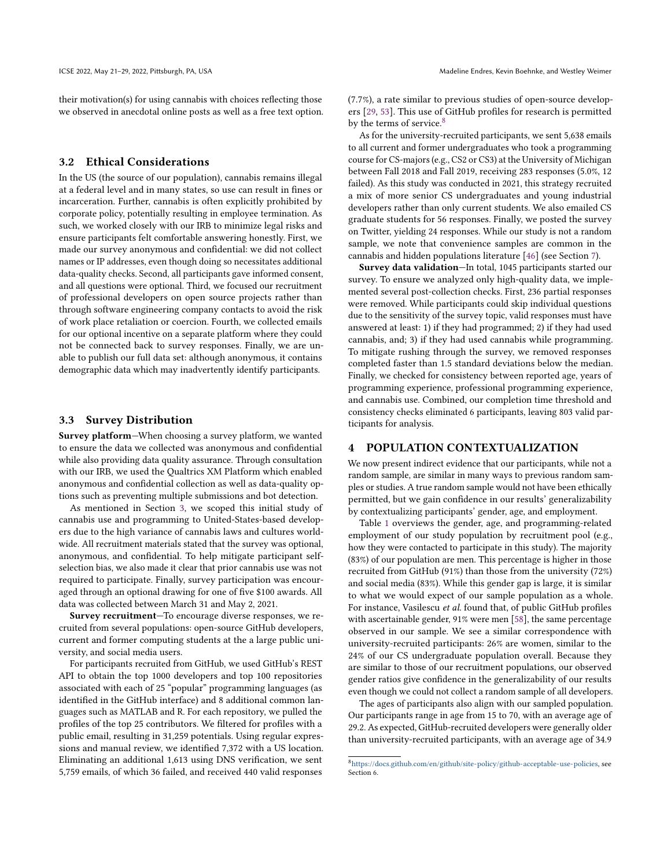their motivation(s) for using cannabis with choices reflecting those we observed in anecdotal online posts as well as a free text option.

# <span id="page-3-0"></span>3.2 Ethical Considerations

In the US (the source of our population), cannabis remains illegal at a federal level and in many states, so use can result in fines or incarceration. Further, cannabis is often explicitly prohibited by corporate policy, potentially resulting in employee termination. As such, we worked closely with our IRB to minimize legal risks and ensure participants felt comfortable answering honestly. First, we made our survey anonymous and confidential: we did not collect names or IP addresses, even though doing so necessitates additional data-quality checks. Second, all participants gave informed consent, and all questions were optional. Third, we focused our recruitment of professional developers on open source projects rather than through software engineering company contacts to avoid the risk of work place retaliation or coercion. Fourth, we collected emails for our optional incentive on a separate platform where they could not be connected back to survey responses. Finally, we are unable to publish our full data set: although anonymous, it contains demographic data which may inadvertently identify participants.

## <span id="page-3-1"></span>3.3 Survey Distribution

Survey platform—When choosing a survey platform, we wanted to ensure the data we collected was anonymous and confidential while also providing data quality assurance. Through consultation with our IRB, we used the Qualtrics XM Platform which enabled anonymous and confidential collection as well as data-quality options such as preventing multiple submissions and bot detection.

As mentioned in Section [3,](#page-2-2) we scoped this initial study of cannabis use and programming to United-States-based developers due to the high variance of cannabis laws and cultures worldwide. All recruitment materials stated that the survey was optional, anonymous, and confidential. To help mitigate participant selfselection bias, we also made it clear that prior cannabis use was not required to participate. Finally, survey participation was encouraged through an optional drawing for one of five \$100 awards. All data was collected between March 31 and May 2, 2021.

Survey recruitment—To encourage diverse responses, we recruited from several populations: open-source GitHub developers, current and former computing students at the a large public university, and social media users.

For participants recruited from GitHub, we used GitHub's REST API to obtain the top 1000 developers and top 100 repositories associated with each of 25 "popular" programming languages (as identified in the GitHub interface) and 8 additional common languages such as MATLAB and R. For each repository, we pulled the profiles of the top 25 contributors. We filtered for profiles with a public email, resulting in 31,259 potentials. Using regular expressions and manual review, we identified 7,372 with a US location. Eliminating an additional 1,613 using DNS verification, we sent 5,759 emails, of which 36 failed, and received 440 valid responses

(7.7%), a rate similar to previous studies of open-source developers [\[29,](#page-11-30) [53\]](#page-12-10). This use of GitHub profiles for research is permitted by the terms of service.<sup>[8](#page-3-2)</sup>

As for the university-recruited participants, we sent 5,638 emails to all current and former undergraduates who took a programming course for CS-majors (e.g., CS2 or CS3) at the University of Michigan between Fall 2018 and Fall 2019, receiving 283 responses (5.0%, 12 failed). As this study was conducted in 2021, this strategy recruited a mix of more senior CS undergraduates and young industrial developers rather than only current students. We also emailed CS graduate students for 56 responses. Finally, we posted the survey on Twitter, yielding 24 responses. While our study is not a random sample, we note that convenience samples are common in the cannabis and hidden populations literature [\[46\]](#page-11-31) (see Section [7\)](#page-10-7).

Survey data validation—In total, 1045 participants started our survey. To ensure we analyzed only high-quality data, we implemented several post-collection checks. First, 236 partial responses were removed. While participants could skip individual questions due to the sensitivity of the survey topic, valid responses must have answered at least: 1) if they had programmed; 2) if they had used cannabis, and; 3) if they had used cannabis while programming. To mitigate rushing through the survey, we removed responses completed faster than 1.5 standard deviations below the median. Finally, we checked for consistency between reported age, years of programming experience, professional programming experience, and cannabis use. Combined, our completion time threshold and consistency checks eliminated 6 participants, leaving 803 valid participants for analysis.

## <span id="page-3-3"></span>4 POPULATION CONTEXTUALIZATION

We now present indirect evidence that our participants, while not a random sample, are similar in many ways to previous random samples or studies. A true random sample would not have been ethically permitted, but we gain confidence in our results' generalizability by contextualizing participants' gender, age, and employment.

Table [1](#page-4-0) overviews the gender, age, and programming-related employment of our study population by recruitment pool (e.g., how they were contacted to participate in this study). The majority (83%) of our population are men. This percentage is higher in those recruited from GitHub (91%) than those from the university (72%) and social media (83%). While this gender gap is large, it is similar to what we would expect of our sample population as a whole. For instance, Vasilescu et al. found that, of public GitHub profiles with ascertainable gender, 91% were men [\[58\]](#page-12-11), the same percentage observed in our sample. We see a similar correspondence with university-recruited participants: 26% are women, similar to the 24% of our CS undergraduate population overall. Because they are similar to those of our recruitment populations, our observed gender ratios give confidence in the generalizability of our results even though we could not collect a random sample of all developers.

The ages of participants also align with our sampled population. Our participants range in age from 15 to 70, with an average age of 29.2. As expected, GitHub-recruited developers were generally older than university-recruited participants, with an average age of 34.9

<span id="page-3-2"></span> $^{8}$ [https://docs.github.com/en/github/site-policy/github-acceptable-use-policies,](https://docs.github.com/en/github/site-policy/github-acceptable-use-policies) see Section 6.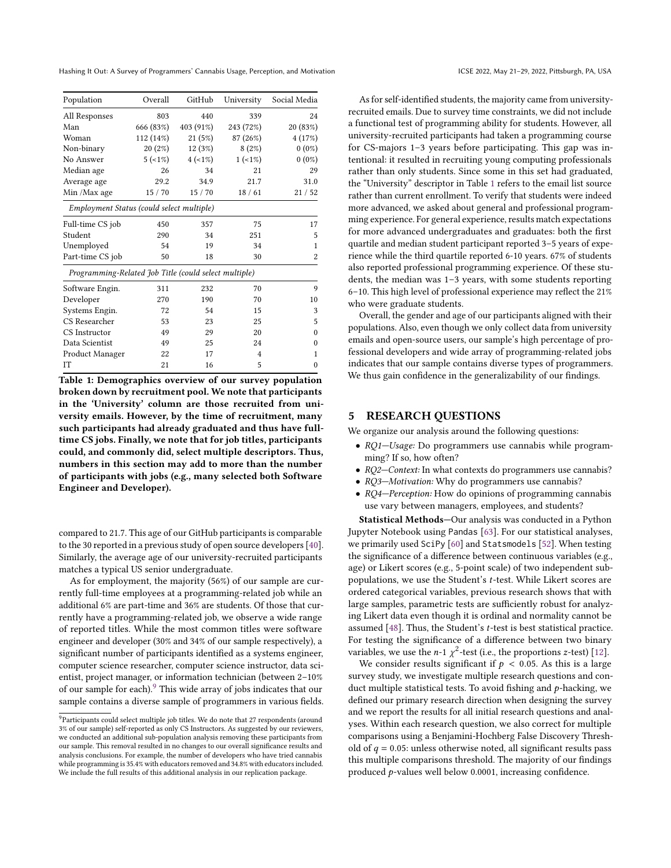<span id="page-4-0"></span>

| Population                                            | Overall   | GitHub     | University | Social Media |  |  |  |
|-------------------------------------------------------|-----------|------------|------------|--------------|--|--|--|
| All Responses                                         | 803       | 440        | 339        | 24           |  |  |  |
| Man                                                   | 666 (83%) | 403 (91%)  | 243 (72%)  | 20 (83%)     |  |  |  |
| Woman                                                 | 112 (14%) | 21(5%)     | 87 (26%)   | 4(17%)       |  |  |  |
| Non-binary                                            | 20(2%)    | 12(3%)     | 8(2%)      | $0(0\%)$     |  |  |  |
| No Answer                                             | $5(-1\%)$ | $4 (-1\%)$ | $1 (-1\%)$ | $0(0\%)$     |  |  |  |
| Median age                                            | 26        | 34         | 21         | 29           |  |  |  |
| Average age                                           | 29.2      | 34.9       | 21.7       | 31.0         |  |  |  |
| Min /Max age                                          | 15/70     | 15/70      | 18/61      | 21/52        |  |  |  |
| Employment Status (could select multiple)             |           |            |            |              |  |  |  |
| Full-time CS job                                      | 450       | 357        | 75         | 17           |  |  |  |
| Student                                               | 290       | 34         | 251        | 5            |  |  |  |
| Unemployed                                            | 54        | 19         | 34         | 1            |  |  |  |
| Part-time CS job                                      | 50        | 18         | 30         | 2            |  |  |  |
| Programming-Related Job Title (could select multiple) |           |            |            |              |  |  |  |
| Software Engin.                                       | 311       | 232        | 70         | 9            |  |  |  |
| Developer                                             | 270       | 190        | 70         | 10           |  |  |  |
| Systems Engin.                                        | 72        | 54         | 15         | 3            |  |  |  |
| CS Researcher                                         | 53        | 23         | 25         | 5            |  |  |  |
| CS Instructor                                         | 49        | 29         | 20         | $\Omega$     |  |  |  |
| Data Scientist                                        | 49        | 25         | 24         | $\Omega$     |  |  |  |
| Product Manager                                       | 22        | 17         | 4          | 1            |  |  |  |
| IT                                                    | 21        | 16         | 5          | $\theta$     |  |  |  |

Table 1: Demographics overview of our survey population broken down by recruitment pool. We note that participants in the 'University' column are those recruited from university emails. However, by the time of recruitment, many such participants had already graduated and thus have fulltime CS jobs. Finally, we note that for job titles, participants could, and commonly did, select multiple descriptors. Thus, numbers in this section may add to more than the number of participants with jobs (e.g., many selected both Software Engineer and Developer).

compared to 21.7. This age of our GitHub participants is comparable to the 30 reported in a previous study of open source developers [\[40\]](#page-11-32). Similarly, the average age of our university-recruited participants matches a typical US senior undergraduate.

As for employment, the majority (56%) of our sample are currently full-time employees at a programming-related job while an additional 6% are part-time and 36% are students. Of those that currently have a programming-related job, we observe a wide range of reported titles. While the most common titles were software engineer and developer (30% and 34% of our sample respectively), a significant number of participants identified as a systems engineer, computer science researcher, computer science instructor, data scientist, project manager, or information technician (between 2–10% of our sample for each).[9](#page-4-1) This wide array of jobs indicates that our sample contains a diverse sample of programmers in various fields.

As for self-identified students, the majority came from universityrecruited emails. Due to survey time constraints, we did not include a functional test of programming ability for students. However, all university-recruited participants had taken a programming course for CS-majors 1–3 years before participating. This gap was intentional: it resulted in recruiting young computing professionals rather than only students. Since some in this set had graduated, the "University" descriptor in Table [1](#page-4-0) refers to the email list source rather than current enrollment. To verify that students were indeed more advanced, we asked about general and professional programming experience. For general experience, results match expectations for more advanced undergraduates and graduates: both the first quartile and median student participant reported 3–5 years of experience while the third quartile reported 6-10 years. 67% of students also reported professional programming experience. Of these students, the median was 1–3 years, with some students reporting 6–10. This high level of professional experience may reflect the 21% who were graduate students.

Overall, the gender and age of our participants aligned with their populations. Also, even though we only collect data from university emails and open-source users, our sample's high percentage of professional developers and wide array of programming-related jobs indicates that our sample contains diverse types of programmers. We thus gain confidence in the generalizability of our findings.

# 5 RESEARCH QUESTIONS

We organize our analysis around the following questions:

- RQ1—Usage: Do programmers use cannabis while programming? If so, how often?
- RQ2-Context: In what contexts do programmers use cannabis?
- RQ3-Motivation: Why do programmers use cannabis?
- RQ4—Perception: How do opinions of programming cannabis use vary between managers, employees, and students?

Statistical Methods—Our analysis was conducted in a Python Jupyter Notebook using Pandas [\[63\]](#page-12-12). For our statistical analyses, we primarily used SciPy [\[60\]](#page-12-13) and Statsmodels [\[52\]](#page-11-33). When testing the significance of a difference between continuous variables (e.g., age) or Likert scores (e.g., 5-point scale) of two independent subpopulations, we use the Student's t-test. While Likert scores are ordered categorical variables, previous research shows that with large samples, parametric tests are sufficiently robust for analyzing Likert data even though it is ordinal and normality cannot be assumed  $[48]$ . Thus, the Student's *t*-test is best statistical practice. For testing the significance of a difference between two binary variables, we use the *n*-1  $\chi^2$ -test (i.e., the proportions *z*-test) [\[12\]](#page-11-35).

We consider results significant if  $p < 0.05$ . As this is a large survey study, we investigate multiple research questions and conduct multiple statistical tests. To avoid fishing and  $p$ -hacking, we defined our primary research direction when designing the survey and we report the results for all initial research questions and analyses. Within each research question, we also correct for multiple comparisons using a Benjamini-Hochberg False Discovery Threshold of  $q = 0.05$ : unless otherwise noted, all significant results pass this multiple comparisons threshold. The majority of our findings produced  $p$ -values well below 0.0001, increasing confidence.

<span id="page-4-1"></span><sup>&</sup>lt;sup>9</sup>Participants could select multiple job titles. We do note that 27 respondents (around 3% of our sample) self-reported as only CS Instructors. As suggested by our reviewers, we conducted an additional sub-population analysis removing these participants from our sample. This removal resulted in no changes to our overall significance results and analysis conclusions. For example, the number of developers who have tried cannabis while programming is 35.4% with educators removed and 34.8% with educators included. We include the full results of this additional analysis in our replication package.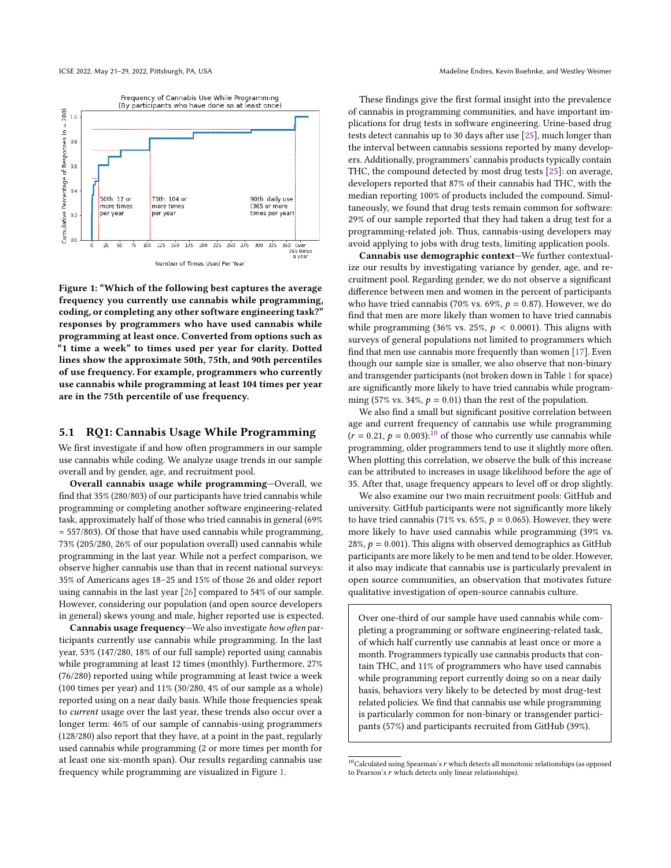<span id="page-5-1"></span>

Figure 1: "Which of the following best captures the average frequency you currently use cannabis while programming, coding, or completing any other software engineering task?" responses by programmers who have used cannabis while programming at least once. Converted from options such as "1 time a week" to times used per year for clarity. Dotted lines show the approximate 50th, 75th, and 90th percentiles of use frequency. For example, programmers who currently use cannabis while programming at least 104 times per year are in the 75th percentile of use frequency.

#### <span id="page-5-0"></span>5.1 RQ1: Cannabis Usage While Programming

We first investigate if and how often programmers in our sample use cannabis while coding. We analyze usage trends in our sample overall and by gender, age, and recruitment pool.

Overall cannabis usage while programming—Overall, we find that 35% (280/803) of our participants have tried cannabis while programming or completing another software engineering-related task, approximately half of those who tried cannabis in general (69% = 557/803). Of those that have used cannabis while programming, 73% (205/280, 26% of our population overall) used cannabis while programming in the last year. While not a perfect comparison, we observe higher cannabis use than that in recent national surveys: 35% of Americans ages 18–25 and 15% of those 26 and older report using cannabis in the last year [\[26\]](#page-11-13) compared to 54% of our sample. However, considering our population (and open source developers in general) skews young and male, higher reported use is expected.

Cannabis usage frequency—We also investigate how often participants currently use cannabis while programming. In the last year, 53% (147/280, 18% of our full sample) reported using cannabis while programming at least 12 times (monthly). Furthermore, 27% (76/280) reported using while programming at least twice a week (100 times per year) and 11% (30/280, 4% of our sample as a whole) reported using on a near daily basis. While those frequencies speak to current usage over the last year, these trends also occur over a longer term: 46% of our sample of cannabis-using programmers (128/280) also report that they have, at a point in the past, regularly used cannabis while programming (2 or more times per month for at least one six-month span). Our results regarding cannabis use frequency while programming are visualized in Figure [1.](#page-5-1)

These findings give the first formal insight into the prevalence of cannabis in programming communities, and have important implications for drug tests in software engineering. Urine-based drug tests detect cannabis up to 30 days after use [\[25\]](#page-11-36), much longer than the interval between cannabis sessions reported by many developers. Additionally, programmers' cannabis products typically contain THC, the compound detected by most drug tests [\[25\]](#page-11-36): on average, developers reported that 87% of their cannabis had THC, with the median reporting 100% of products included the compound. Simultaneously, we found that drug tests remain common for software: 29% of our sample reported that they had taken a drug test for a programming-related job. Thus, cannabis-using developers may avoid applying to jobs with drug tests, limiting application pools.

Cannabis use demographic context—We further contextualize our results by investigating variance by gender, age, and recruitment pool. Regarding gender, we do not observe a significant difference between men and women in the percent of participants who have tried cannabis (70% vs. 69%,  $p = 0.87$ ). However, we do find that men are more likely than women to have tried cannabis while programming (36% vs. 25%,  $p < 0.0001$ ). This aligns with surveys of general populations not limited to programmers which find that men use cannabis more frequently than women [\[17\]](#page-11-37). Even though our sample size is smaller, we also observe that non-binary and transgender participants (not broken down in Table [1](#page-4-0) for space) are significantly more likely to have tried cannabis while programming (57% vs. 34%,  $p = 0.01$ ) than the rest of the population.

We also find a small but significant positive correlation between age and current frequency of cannabis use while programming  $(r = 0.21, p = 0.003)$ :<sup>[10](#page-5-2)</sup> of those who currently use cannabis while programming, older programmers tend to use it slightly more often. When plotting this correlation, we observe the bulk of this increase can be attributed to increases in usage likelihood before the age of 35. After that, usage frequency appears to level off or drop slightly.

We also examine our two main recruitment pools: GitHub and university. GitHub participants were not significantly more likely to have tried cannabis (71% vs. 65%,  $p = 0.065$ ). However, they were more likely to have used cannabis while programming (39% vs. 28%,  $p = 0.001$ ). This aligns with observed demographics as GitHub participants are more likely to be men and tend to be older. However, it also may indicate that cannabis use is particularly prevalent in open source communities, an observation that motivates future qualitative investigation of open-source cannabis culture.

Over one-third of our sample have used cannabis while completing a programming or software engineering-related task, of which half currently use cannabis at least once or more a month. Programmers typically use cannabis products that contain THC, and 11% of programmers who have used cannabis while programming report currently doing so on a near daily basis, behaviors very likely to be detected by most drug-test related policies. We find that cannabis use while programming is particularly common for non-binary or transgender participants (57%) and participants recruited from GitHub (39%).

<span id="page-5-2"></span> $^{10}\rm{Calculated}$  using Spearman's  $r$  which detects all monotonic relationships (as opposed to Pearson's  $r$  which detects only linear relationships).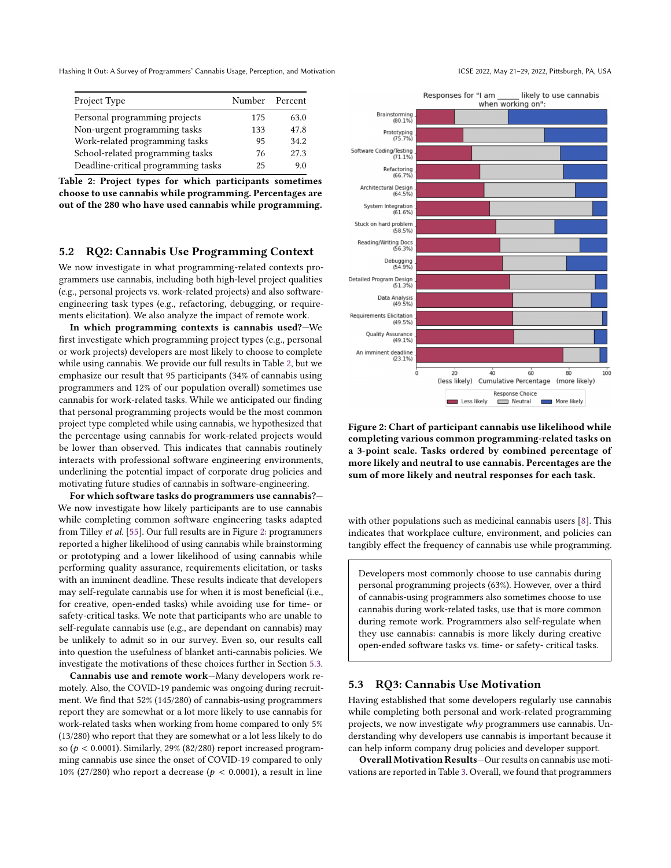<span id="page-6-0"></span>

| Project Type                        | Number Percent |      |  |
|-------------------------------------|----------------|------|--|
| Personal programming projects       | 175            | 63.0 |  |
| Non-urgent programming tasks        | 133            | 47.8 |  |
| Work-related programming tasks      | 95             | 34.2 |  |
| School-related programming tasks    | 76             | 27.3 |  |
| Deadline-critical programming tasks | 25             | 9.0  |  |

Table 2: Project types for which participants sometimes choose to use cannabis while programming. Percentages are out of the 280 who have used cannabis while programming.

# <span id="page-6-3"></span>5.2 RQ2: Cannabis Use Programming Context

We now investigate in what programming-related contexts programmers use cannabis, including both high-level project qualities (e.g., personal projects vs. work-related projects) and also softwareengineering task types (e.g., refactoring, debugging, or requirements elicitation). We also analyze the impact of remote work.

In which programming contexts is cannabis used?—We first investigate which programming project types (e.g., personal or work projects) developers are most likely to choose to complete while using cannabis. We provide our full results in Table [2,](#page-6-0) but we emphasize our result that 95 participants (34% of cannabis using programmers and 12% of our population overall) sometimes use cannabis for work-related tasks. While we anticipated our finding that personal programming projects would be the most common project type completed while using cannabis, we hypothesized that the percentage using cannabis for work-related projects would be lower than observed. This indicates that cannabis routinely interacts with professional software engineering environments, underlining the potential impact of corporate drug policies and motivating future studies of cannabis in software-engineering.

For which software tasks do programmers use cannabis?— We now investigate how likely participants are to use cannabis while completing common software engineering tasks adapted from Tilley et al. [\[55\]](#page-12-9). Our full results are in Figure [2:](#page-6-1) programmers reported a higher likelihood of using cannabis while brainstorming or prototyping and a lower likelihood of using cannabis while performing quality assurance, requirements elicitation, or tasks with an imminent deadline. These results indicate that developers may self-regulate cannabis use for when it is most beneficial (i.e., for creative, open-ended tasks) while avoiding use for time- or safety-critical tasks. We note that participants who are unable to self-regulate cannabis use (e.g., are dependant on cannabis) may be unlikely to admit so in our survey. Even so, our results call into question the usefulness of blanket anti-cannabis policies. We investigate the motivations of these choices further in Section [5.3.](#page-6-2)

Cannabis use and remote work—Many developers work remotely. Also, the COVID-19 pandemic was ongoing during recruitment. We find that 52% (145/280) of cannabis-using programmers report they are somewhat or a lot more likely to use cannabis for work-related tasks when working from home compared to only 5% (13/280) who report that they are somewhat or a lot less likely to do so ( $p < 0.0001$ ). Similarly, 29% (82/280) report increased programming cannabis use since the onset of COVID-19 compared to only 10% (27/280) who report a decrease ( $p < 0.0001$ ), a result in line

<span id="page-6-1"></span>

Figure 2: Chart of participant cannabis use likelihood while completing various common programming-related tasks on a 3-point scale. Tasks ordered by combined percentage of more likely and neutral to use cannabis. Percentages are the sum of more likely and neutral responses for each task.

 $\frac{1}{40}$ 

60

Cumulative Percentage

Response Choice

Neutral

 $80^{\circ}$ 

More likely

(more likely)

າດ່ດ

 $\frac{1}{20}$ 

(less likely)

Less likely

with other populations such as medicinal cannabis users [\[8\]](#page-10-8). This indicates that workplace culture, environment, and policies can tangibly effect the frequency of cannabis use while programming.

Developers most commonly choose to use cannabis during personal programming projects (63%). However, over a third of cannabis-using programmers also sometimes choose to use cannabis during work-related tasks, use that is more common during remote work. Programmers also self-regulate when they use cannabis: cannabis is more likely during creative open-ended software tasks vs. time- or safety- critical tasks.

#### <span id="page-6-2"></span>5.3 RQ3: Cannabis Use Motivation

Having established that some developers regularly use cannabis while completing both personal and work-related programming projects, we now investigate why programmers use cannabis. Understanding why developers use cannabis is important because it can help inform company drug policies and developer support.

Overall Motivation Results—Our results on cannabis use motivations are reported in Table [3.](#page-7-0) Overall, we found that programmers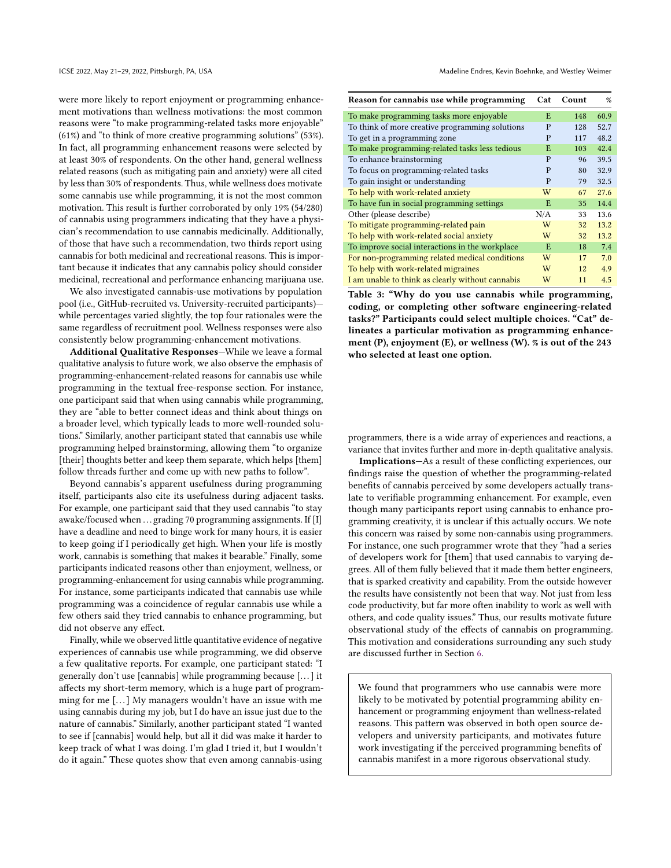were more likely to report enjoyment or programming enhancement motivations than wellness motivations: the most common reasons were "to make programming-related tasks more enjoyable" (61%) and "to think of more creative programming solutions" (53%). In fact, all programming enhancement reasons were selected by at least 30% of respondents. On the other hand, general wellness related reasons (such as mitigating pain and anxiety) were all cited by less than 30% of respondents. Thus, while wellness does motivate some cannabis use while programming, it is not the most common motivation. This result is further corroborated by only 19% (54/280) of cannabis using programmers indicating that they have a physician's recommendation to use cannabis medicinally. Additionally, of those that have such a recommendation, two thirds report using cannabis for both medicinal and recreational reasons. This is important because it indicates that any cannabis policy should consider medicinal, recreational and performance enhancing marijuana use.

We also investigated cannabis-use motivations by population pool (i.e., GitHub-recruited vs. University-recruited participants) while percentages varied slightly, the top four rationales were the same regardless of recruitment pool. Wellness responses were also consistently below programming-enhancement motivations.

Additional Qualitative Responses—While we leave a formal qualitative analysis to future work, we also observe the emphasis of programming-enhancement-related reasons for cannabis use while programming in the textual free-response section. For instance, one participant said that when using cannabis while programming, they are "able to better connect ideas and think about things on a broader level, which typically leads to more well-rounded solutions." Similarly, another participant stated that cannabis use while programming helped brainstorming, allowing them "to organize [their] thoughts better and keep them separate, which helps [them] follow threads further and come up with new paths to follow".

Beyond cannabis's apparent usefulness during programming itself, participants also cite its usefulness during adjacent tasks. For example, one participant said that they used cannabis "to stay awake/focused when ... grading 70 programming assignments. If [I] have a deadline and need to binge work for many hours, it is easier to keep going if I periodically get high. When your life is mostly work, cannabis is something that makes it bearable." Finally, some participants indicated reasons other than enjoyment, wellness, or programming-enhancement for using cannabis while programming. For instance, some participants indicated that cannabis use while programming was a coincidence of regular cannabis use while a few others said they tried cannabis to enhance programming, but did not observe any effect.

Finally, while we observed little quantitative evidence of negative experiences of cannabis use while programming, we did observe a few qualitative reports. For example, one participant stated: "I generally don't use [cannabis] while programming because [. . . ] it affects my short-term memory, which is a huge part of programming for me [...] My managers wouldn't have an issue with me using cannabis during my job, but I do have an issue just due to the nature of cannabis." Similarly, another participant stated "I wanted to see if [cannabis] would help, but all it did was make it harder to keep track of what I was doing. I'm glad I tried it, but I wouldn't do it again." These quotes show that even among cannabis-using

<span id="page-7-0"></span>

| Reason for cannabis use while programming        |     | Count | %    |
|--------------------------------------------------|-----|-------|------|
| To make programming tasks more enjoyable         | E   | 148   | 60.9 |
| To think of more creative programming solutions  | P   | 128   | 52.7 |
| To get in a programming zone                     | P   | 117   | 48.2 |
| To make programming-related tasks less tedious   | E   | 103   | 42.4 |
| To enhance brainstorming                         | P   | 96    | 39.5 |
| To focus on programming-related tasks            | P   | 80    | 32.9 |
| To gain insight or understanding                 | P   | 79    | 32.5 |
| To help with work-related anxiety                | W   | 67    | 27.6 |
| To have fun in social programming settings       | E   | 35    | 14.4 |
| Other (please describe)                          | N/A | 33    | 13.6 |
| To mitigate programming-related pain             | W   | 32    | 13.2 |
| To help with work-related social anxiety         | W   | 32    | 13.2 |
| To improve social interactions in the workplace  | E   | 18    | 7.4  |
| For non-programming related medical conditions   | W   | 17    | 7.0  |
| To help with work-related migraines              | W   | 12    | 4.9  |
| I am unable to think as clearly without cannabis | W   | 11    | 4.5  |

Table 3: "Why do you use cannabis while programming, coding, or completing other software engineering-related tasks?" Participants could select multiple choices. "Cat" delineates a particular motivation as programming enhancement (P), enjoyment (E), or wellness (W). % is out of the 243 who selected at least one option.

programmers, there is a wide array of experiences and reactions, a variance that invites further and more in-depth qualitative analysis.

Implications—As a result of these conflicting experiences, our findings raise the question of whether the programming-related benefits of cannabis perceived by some developers actually translate to verifiable programming enhancement. For example, even though many participants report using cannabis to enhance programming creativity, it is unclear if this actually occurs. We note this concern was raised by some non-cannabis using programmers. For instance, one such programmer wrote that they "had a series of developers work for [them] that used cannabis to varying degrees. All of them fully believed that it made them better engineers, that is sparked creativity and capability. From the outside however the results have consistently not been that way. Not just from less code productivity, but far more often inability to work as well with others, and code quality issues." Thus, our results motivate future observational study of the effects of cannabis on programming. This motivation and considerations surrounding any such study are discussed further in Section [6.](#page-9-0)

We found that programmers who use cannabis were more likely to be motivated by potential programming ability enhancement or programming enjoyment than wellness-related reasons. This pattern was observed in both open source developers and university participants, and motivates future work investigating if the perceived programming benefits of cannabis manifest in a more rigorous observational study.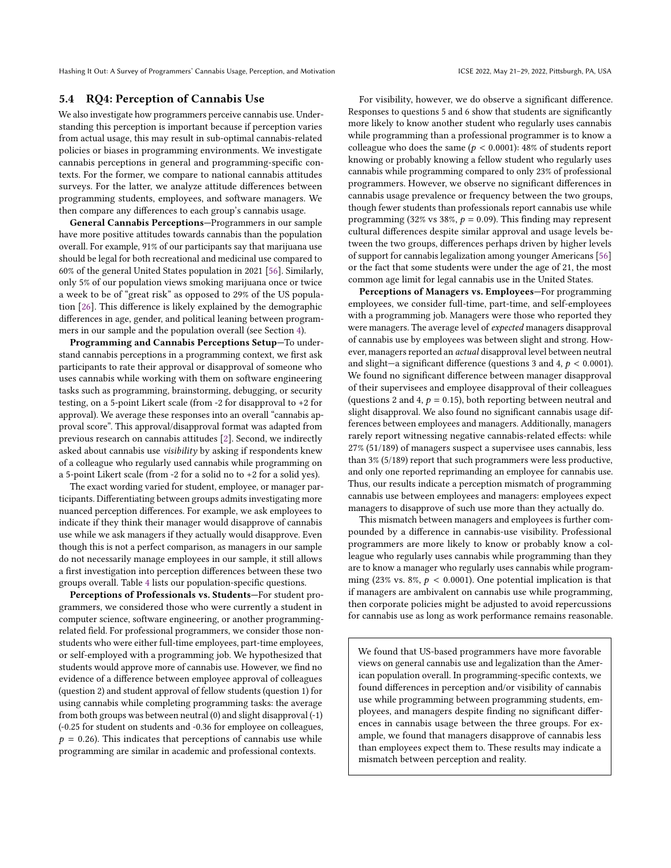# 5.4 RQ4: Perception of Cannabis Use

We also investigate how programmers perceive cannabis use. Understanding this perception is important because if perception varies from actual usage, this may result in sub-optimal cannabis-related policies or biases in programming environments. We investigate cannabis perceptions in general and programming-specific contexts. For the former, we compare to national cannabis attitudes surveys. For the latter, we analyze attitude differences between programming students, employees, and software managers. We then compare any differences to each group's cannabis usage.

General Cannabis Perceptions—Programmers in our sample have more positive attitudes towards cannabis than the population overall. For example, 91% of our participants say that marijuana use should be legal for both recreational and medicinal use compared to 60% of the general United States population in 2021 [\[56\]](#page-12-3). Similarly, only 5% of our population views smoking marijuana once or twice a week to be of "great risk" as opposed to 29% of the US population [\[26\]](#page-11-13). This difference is likely explained by the demographic differences in age, gender, and political leaning between programmers in our sample and the population overall (see Section [4\)](#page-3-3).

Programming and Cannabis Perceptions Setup—To understand cannabis perceptions in a programming context, we first ask participants to rate their approval or disapproval of someone who uses cannabis while working with them on software engineering tasks such as programming, brainstorming, debugging, or security testing, on a 5-point Likert scale (from -2 for disapproval to +2 for approval). We average these responses into an overall "cannabis approval score". This approval/disapproval format was adapted from previous research on cannabis attitudes [\[2\]](#page-10-6). Second, we indirectly asked about cannabis use visibility by asking if respondents knew of a colleague who regularly used cannabis while programming on a 5-point Likert scale (from -2 for a solid no to +2 for a solid yes).

The exact wording varied for student, employee, or manager participants. Differentiating between groups admits investigating more nuanced perception differences. For example, we ask employees to indicate if they think their manager would disapprove of cannabis use while we ask managers if they actually would disapprove. Even though this is not a perfect comparison, as managers in our sample do not necessarily manage employees in our sample, it still allows a first investigation into perception differences between these two groups overall. Table [4](#page-9-1) lists our population-specific questions.

Perceptions of Professionals vs. Students—For student programmers, we considered those who were currently a student in computer science, software engineering, or another programmingrelated field. For professional programmers, we consider those nonstudents who were either full-time employees, part-time employees, or self-employed with a programming job. We hypothesized that students would approve more of cannabis use. However, we find no evidence of a difference between employee approval of colleagues (question 2) and student approval of fellow students (question 1) for using cannabis while completing programming tasks: the average from both groups was between neutral (0) and slight disapproval (-1) (-0.25 for student on students and -0.36 for employee on colleagues,  $p = 0.26$ ). This indicates that perceptions of cannabis use while programming are similar in academic and professional contexts.

For visibility, however, we do observe a significant difference. Responses to questions 5 and 6 show that students are significantly more likely to know another student who regularly uses cannabis while programming than a professional programmer is to know a colleague who does the same ( $p < 0.0001$ ): 48% of students report knowing or probably knowing a fellow student who regularly uses cannabis while programming compared to only 23% of professional programmers. However, we observe no significant differences in cannabis usage prevalence or frequency between the two groups, though fewer students than professionals report cannabis use while programming (32% vs 38%,  $p = 0.09$ ). This finding may represent cultural differences despite similar approval and usage levels between the two groups, differences perhaps driven by higher levels of support for cannabis legalization among younger Americans [\[56\]](#page-12-3) or the fact that some students were under the age of 21, the most common age limit for legal cannabis use in the United States.

Perceptions of Managers vs. Employees—For programming employees, we consider full-time, part-time, and self-employees with a programming job. Managers were those who reported they were managers. The average level of expected managers disapproval of cannabis use by employees was between slight and strong. However, managers reported an actual disapproval level between neutral and slight—a significant difference (questions 3 and 4,  $p < 0.0001$ ). We found no significant difference between manager disapproval of their supervisees and employee disapproval of their colleagues (questions 2 and 4,  $p = 0.15$ ), both reporting between neutral and slight disapproval. We also found no significant cannabis usage differences between employees and managers. Additionally, managers rarely report witnessing negative cannabis-related effects: while 27% (51/189) of managers suspect a supervisee uses cannabis, less than 3% (5/189) report that such programmers were less productive, and only one reported reprimanding an employee for cannabis use. Thus, our results indicate a perception mismatch of programming cannabis use between employees and managers: employees expect managers to disapprove of such use more than they actually do.

This mismatch between managers and employees is further compounded by a difference in cannabis-use visibility. Professional programmers are more likely to know or probably know a colleague who regularly uses cannabis while programming than they are to know a manager who regularly uses cannabis while programming (23% vs. 8%,  $p < 0.0001$ ). One potential implication is that if managers are ambivalent on cannabis use while programming, then corporate policies might be adjusted to avoid repercussions for cannabis use as long as work performance remains reasonable.

We found that US-based programmers have more favorable views on general cannabis use and legalization than the American population overall. In programming-specific contexts, we found differences in perception and/or visibility of cannabis use while programming between programming students, employees, and managers despite finding no significant differences in cannabis usage between the three groups. For example, we found that managers disapprove of cannabis less than employees expect them to. These results may indicate a mismatch between perception and reality.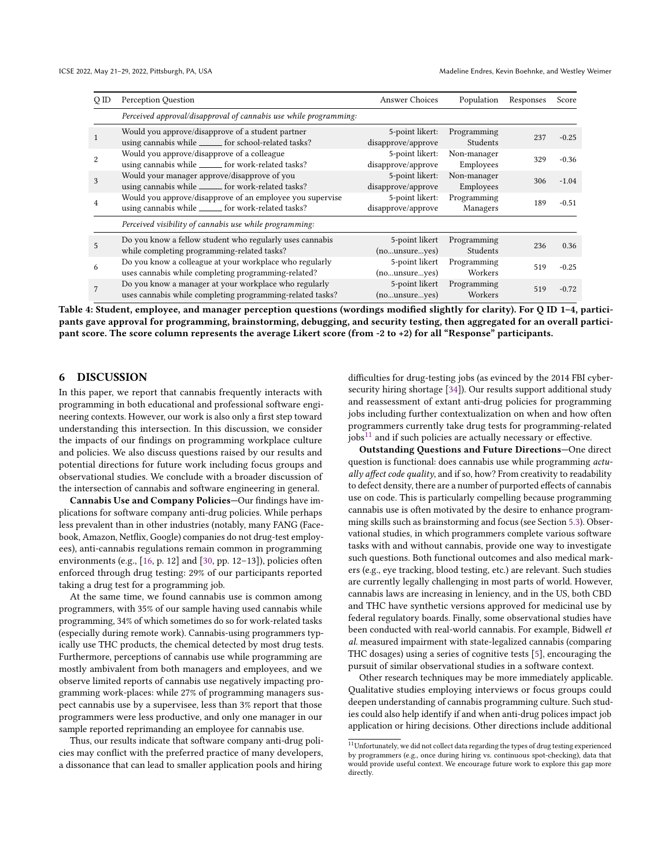<span id="page-9-1"></span>

| Q ID           | Perception Question                                                                                                | <b>Answer Choices</b>                        | Population               | Responses | Score   |
|----------------|--------------------------------------------------------------------------------------------------------------------|----------------------------------------------|--------------------------|-----------|---------|
|                | Perceived approval/disapproval of cannabis use while programming:                                                  |                                              |                          |           |         |
|                | Would you approve/disapprove of a student partner<br>using cannabis while _______ for school-related tasks?        | 5-point likert:<br>disapprove/approve        | Programming<br>Students  | 237       | $-0.25$ |
| $\overline{2}$ | Would you approve/disapprove of a colleague<br>using cannabis while ______ for work-related tasks?                 | 5-point likert:<br>disapprove/approve        | Non-manager<br>Employees | 329       | $-0.36$ |
| 3              | Would your manager approve/disapprove of you<br>using cannabis while _______ for work-related tasks?               | 5-point likert:<br>disapprove/approve        | Non-manager<br>Employees | 306       | $-1.04$ |
| $\overline{4}$ | Would you approve/disapprove of an employee you supervise<br>using cannabis while _______ for work-related tasks?  | 5-point likert:<br>disapprove/approve        | Programming<br>Managers  | 189       | $-0.51$ |
|                | Perceived visibility of cannabis use while programming:                                                            |                                              |                          |           |         |
| 5              | Do you know a fellow student who regularly uses cannabis<br>while completing programming-related tasks?            | 5-point likert<br>$(no$ unsure $.r.$ yes $)$ | Programming<br>Students  | 236       | 0.36    |
| 6              | Do you know a colleague at your workplace who regularly<br>uses cannabis while completing programming-related?     | 5-point likert<br>(nounsureyes)              | Programming<br>Workers   | 519       | $-0.25$ |
| $\overline{7}$ | Do you know a manager at your workplace who regularly<br>uses cannabis while completing programming-related tasks? | 5-point likert<br>(nounsureyes)              | Programming<br>Workers   | 519       | $-0.72$ |

Table 4: Student, employee, and manager perception questions (wordings modified slightly for clarity). For Q ID 1–4, participants gave approval for programming, brainstorming, debugging, and security testing, then aggregated for an overall participant score. The score column represents the average Likert score (from -2 to +2) for all "Response" participants.

# <span id="page-9-0"></span>6 DISCUSSION

In this paper, we report that cannabis frequently interacts with programming in both educational and professional software engineering contexts. However, our work is also only a first step toward understanding this intersection. In this discussion, we consider the impacts of our findings on programming workplace culture and policies. We also discuss questions raised by our results and potential directions for future work including focus groups and observational studies. We conclude with a broader discussion of the intersection of cannabis and software engineering in general.

Cannabis Use and Company Policies—Our findings have implications for software company anti-drug policies. While perhaps less prevalent than in other industries (notably, many FANG (Facebook, Amazon, Netflix, Google) companies do not drug-test employees), anti-cannabis regulations remain common in programming environments (e.g., [\[16,](#page-11-38) p. 12] and [\[30,](#page-11-39) pp. 12–13]), policies often enforced through drug testing: 29% of our participants reported taking a drug test for a programming job.

At the same time, we found cannabis use is common among programmers, with 35% of our sample having used cannabis while programming, 34% of which sometimes do so for work-related tasks (especially during remote work). Cannabis-using programmers typically use THC products, the chemical detected by most drug tests. Furthermore, perceptions of cannabis use while programming are mostly ambivalent from both managers and employees, and we observe limited reports of cannabis use negatively impacting programming work-places: while 27% of programming managers suspect cannabis use by a supervisee, less than 3% report that those programmers were less productive, and only one manager in our sample reported reprimanding an employee for cannabis use.

Thus, our results indicate that software company anti-drug policies may conflict with the preferred practice of many developers, a dissonance that can lead to smaller application pools and hiring

difficulties for drug-testing jobs (as evinced by the 2014 FBI cybersecurity hiring shortage [\[34\]](#page-11-6)). Our results support additional study and reassessment of extant anti-drug policies for programming jobs including further contextualization on when and how often programmers currently take drug tests for programming-related  $jobs<sup>11</sup>$  $jobs<sup>11</sup>$  $jobs<sup>11</sup>$  and if such policies are actually necessary or effective.

Outstanding Questions and Future Directions—One direct question is functional: does cannabis use while programming actually affect code quality, and if so, how? From creativity to readability to defect density, there are a number of purported effects of cannabis use on code. This is particularly compelling because programming cannabis use is often motivated by the desire to enhance programming skills such as brainstorming and focus (see Section [5.3\)](#page-6-2). Observational studies, in which programmers complete various software tasks with and without cannabis, provide one way to investigate such questions. Both functional outcomes and also medical markers (e.g., eye tracking, blood testing, etc.) are relevant. Such studies are currently legally challenging in most parts of world. However, cannabis laws are increasing in leniency, and in the US, both CBD and THC have synthetic versions approved for medicinal use by federal regulatory boards. Finally, some observational studies have been conducted with real-world cannabis. For example, Bidwell et al. measured impairment with state-legalized cannabis (comparing THC dosages) using a series of cognitive tests [\[5\]](#page-10-9), encouraging the pursuit of similar observational studies in a software context.

Other research techniques may be more immediately applicable. Qualitative studies employing interviews or focus groups could deepen understanding of cannabis programming culture. Such studies could also help identify if and when anti-drug polices impact job application or hiring decisions. Other directions include additional

<span id="page-9-2"></span> $\overline{^{11}\text{Unfortunately}}$  , we did not collect data regarding the types of drug testing experienced by programmers (e.g., once during hiring vs. continuous spot-checking), data that would provide useful context. We encourage future work to explore this gap more directly.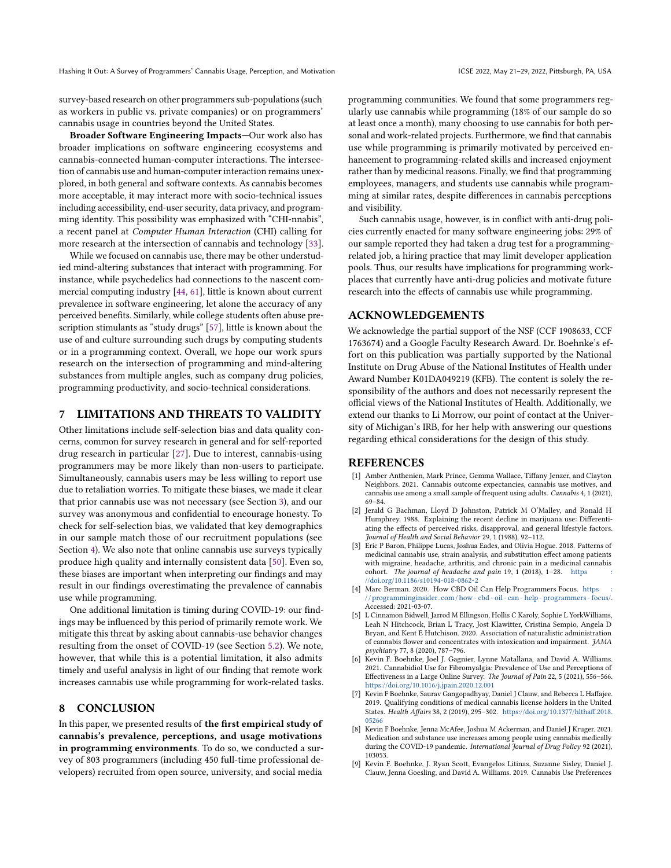survey-based research on other programmers sub-populations (such as workers in public vs. private companies) or on programmers' cannabis usage in countries beyond the United States.

Broader Software Engineering Impacts—Our work also has broader implications on software engineering ecosystems and cannabis-connected human-computer interactions. The intersection of cannabis use and human-computer interaction remains unexplored, in both general and software contexts. As cannabis becomes more acceptable, it may interact more with socio-technical issues including accessibility, end-user security, data privacy, and programming identity. This possibility was emphasized with "CHI-nnabis", a recent panel at Computer Human Interaction (CHI) calling for more research at the intersection of cannabis and technology [\[33\]](#page-11-40).

While we focused on cannabis use, there may be other understudied mind-altering substances that interact with programming. For instance, while psychedelics had connections to the nascent commercial computing industry [\[44,](#page-11-26) [61\]](#page-12-8), little is known about current prevalence in software engineering, let alone the accuracy of any perceived benefits. Similarly, while college students often abuse prescription stimulants as "study drugs" [\[57\]](#page-12-14), little is known about the use of and culture surrounding such drugs by computing students or in a programming context. Overall, we hope our work spurs research on the intersection of programming and mind-altering substances from multiple angles, such as company drug policies, programming productivity, and socio-technical considerations.

# <span id="page-10-7"></span>7 LIMITATIONS AND THREATS TO VALIDITY

Other limitations include self-selection bias and data quality concerns, common for survey research in general and for self-reported drug research in particular [\[27\]](#page-11-41). Due to interest, cannabis-using programmers may be more likely than non-users to participate. Simultaneously, cannabis users may be less willing to report use due to retaliation worries. To mitigate these biases, we made it clear that prior cannabis use was not necessary (see Section [3\)](#page-2-2), and our survey was anonymous and confidential to encourage honesty. To check for self-selection bias, we validated that key demographics in our sample match those of our recruitment populations (see Section [4\)](#page-3-3). We also note that online cannabis use surveys typically produce high quality and internally consistent data [\[50\]](#page-11-42). Even so, these biases are important when interpreting our findings and may result in our findings overestimating the prevalence of cannabis use while programming.

One additional limitation is timing during COVID-19: our findings may be influenced by this period of primarily remote work. We mitigate this threat by asking about cannabis-use behavior changes resulting from the onset of COVID-19 (see Section [5.2\)](#page-6-3). We note, however, that while this is a potential limitation, it also admits timely and useful analysis in light of our finding that remote work increases cannabis use while programming for work-related tasks.

#### 8 CONCLUSION

In this paper, we presented results of the first empirical study of cannabis's prevalence, perceptions, and usage motivations in programming environments. To do so, we conducted a survey of 803 programmers (including 450 full-time professional developers) recruited from open source, university, and social media

programming communities. We found that some programmers regularly use cannabis while programming (18% of our sample do so at least once a month), many choosing to use cannabis for both personal and work-related projects. Furthermore, we find that cannabis use while programming is primarily motivated by perceived enhancement to programming-related skills and increased enjoyment rather than by medicinal reasons. Finally, we find that programming employees, managers, and students use cannabis while programming at similar rates, despite differences in cannabis perceptions and visibility.

Such cannabis usage, however, is in conflict with anti-drug policies currently enacted for many software engineering jobs: 29% of our sample reported they had taken a drug test for a programmingrelated job, a hiring practice that may limit developer application pools. Thus, our results have implications for programming workplaces that currently have anti-drug policies and motivate future research into the effects of cannabis use while programming.

### ACKNOWLEDGEMENTS

We acknowledge the partial support of the NSF (CCF 1908633, CCF 1763674) and a Google Faculty Research Award. Dr. Boehnke's effort on this publication was partially supported by the National Institute on Drug Abuse of the National Institutes of Health under Award Number K01DA049219 (KFB). The content is solely the responsibility of the authors and does not necessarily represent the official views of the National Institutes of Health. Additionally, we extend our thanks to Li Morrow, our point of contact at the University of Michigan's IRB, for her help with answering our questions regarding ethical considerations for the design of this study.

#### REFERENCES

- <span id="page-10-2"></span>[1] Amber Anthenien, Mark Prince, Gemma Wallace, Tiffany Jenzer, and Clayton Neighbors. 2021. Cannabis outcome expectancies, cannabis use motives, and cannabis use among a small sample of frequent using adults. Cannabis 4, 1 (2021), 69–84.
- <span id="page-10-6"></span>[2] Jerald G Bachman, Lloyd D Johnston, Patrick M O'Malley, and Ronald H Humphrey. 1988. Explaining the recent decline in marijuana use: Differentiating the effects of perceived risks, disapproval, and general lifestyle factors. Journal of Health and Social Behavior 29, 1 (1988), 92–112.
- <span id="page-10-4"></span>[3] Eric P Baron, Philippe Lucas, Joshua Eades, and Olivia Hogue. 2018. Patterns of medicinal cannabis use, strain analysis, and substitution effect among patients with migraine, headache, arthritis, and chronic pain in a medicinal cannabis cohort. The journal of headache and pain 19, 1 (2018), 1-28. https [//doi.org/10.1186/s10194-018-0862-2](https://doi.org/10.1186/s10194-018-0862-2)
- <span id="page-10-1"></span>[4] Marc Berman. 2020. How CBD Oil Can Help Programmers Focus. https [/ / programminginsider. com / how - cbd - oil - can - help - programmers - focus/.](https://programminginsider.com/how-cbd-oil-can-help-programmers-focus/) Accessed: 2021-03-07.
- <span id="page-10-9"></span>[5] L Cinnamon Bidwell, Jarrod M Ellingson, Hollis C Karoly, Sophie L YorkWilliams, Leah N Hitchcock, Brian L Tracy, Jost Klawitter, Cristina Sempio, Angela D Bryan, and Kent E Hutchison. 2020. Association of naturalistic administration of cannabis flower and concentrates with intoxication and impairment. JAMA psychiatry 77, 8 (2020), 787–796.
- <span id="page-10-5"></span>[6] Kevin F. Boehnke, Joel J. Gagnier, Lynne Matallana, and David A. Williams. 2021. Cannabidiol Use for Fibromyalgia: Prevalence of Use and Perceptions of Effectiveness in a Large Online Survey. The Journal of Pain 22, 5 (2021), 556–566. <https://doi.org/10.1016/j.jpain.2020.12.001>
- <span id="page-10-0"></span>[7] Kevin F Boehnke, Saurav Gangopadhyay, Daniel J Clauw, and Rebecca L Haffajee. 2019. Qualifying conditions of medical cannabis license holders in the United States. Health Affairs 38, 2 (2019), 295–302. [https://doi.org/10.1377/hlthaff.2018.](https://doi.org/10.1377/hlthaff.2018.05266) [05266](https://doi.org/10.1377/hlthaff.2018.05266)
- <span id="page-10-8"></span>[8] Kevin F Boehnke, Jenna McAfee, Joshua M Ackerman, and Daniel J Kruger. 2021. Medication and substance use increases among people using cannabis medically<br>during the COVID-19 pandemic. *International Journal of Drug Policy* 92 (2021), 103053.
- <span id="page-10-3"></span>[9] Kevin F. Boehnke, J. Ryan Scott, Evangelos Litinas, Suzanne Sisley, Daniel J. Clauw, Jenna Goesling, and David A. Williams. 2019. Cannabis Use Preferences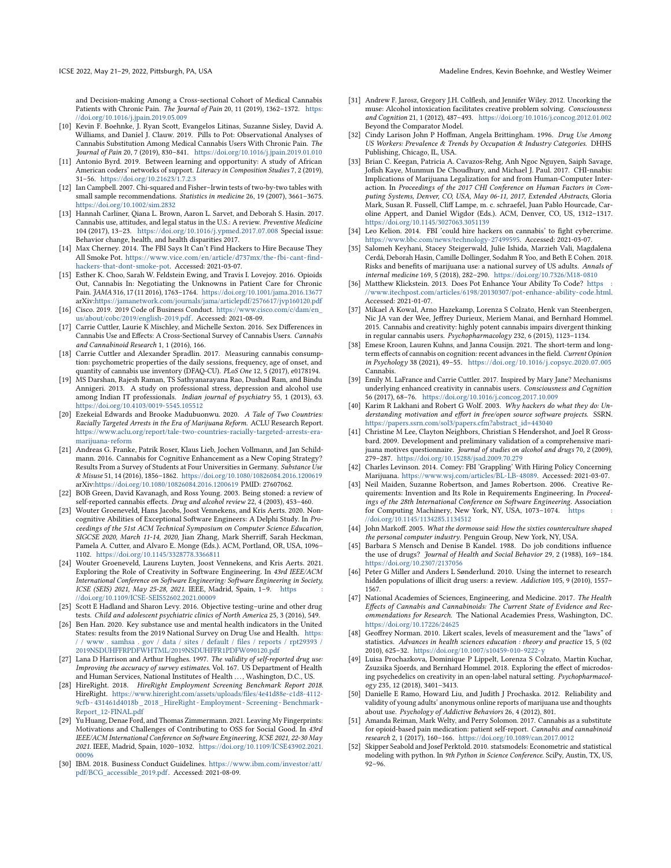and Decision-making Among a Cross-sectional Cohort of Medical Cannabis Patients with Chronic Pain. The Journal of Pain 20, 11 (2019), 1362–1372. [https:](https://doi.org/10.1016/j.jpain.2019.05.009) [//doi.org/10.1016/j.jpain.2019.05.009](https://doi.org/10.1016/j.jpain.2019.05.009)

- <span id="page-11-3"></span>[10] Kevin F. Boehnke, J. Ryan Scott, Evangelos Litinas, Suzanne Sisley, David A. Williams, and Daniel J. Clauw. 2019. Pills to Pot: Observational Analyses of Cannabis Substitution Among Medical Cannabis Users With Chronic Pain. The Journal of Pain 20, 7 (2019), 830–841. <https://doi.org/10.1016/j.jpain.2019.01.010>
- <span id="page-11-16"></span>[11] Antonio Byrd. 2019. Between learning and opportunity: A study of African American coders' networks of support. Literacy in Composition Studies 7, 2 (2019), 31–56. <https://doi.org/10.21623/1.7.2.3>
- <span id="page-11-35"></span>[12] Ian Campbell. 2007. Chi-squared and Fisher–Irwin tests of two-by-two tables with small sample recommendations. Statistics in medicine 26, 19 (2007), 3661–3675. <https://doi.org/10.1002/sim.2832>
- <span id="page-11-29"></span>[13] Hannah Carliner, Qiana L. Brown, Aaron L. Sarvet, and Deborah S. Hasin. 2017. Cannabis use, attitudes, and legal status in the U.S.: A review. Preventive Medicine 104 (2017), 13–23. <https://doi.org/10.1016/j.ypmed.2017.07.008> Special issue: Behavior change, health, and health disparities 2017.
- <span id="page-11-5"></span>[14] Max Cherney. 2014. The FBI Says It Can't Find Hackers to Hire Because They All Smoke Pot. [https://www.vice.com/en/article/d737mx/the- fbi- cant- find](https://www.vice.com/en/article/d737mx/the-fbi-cant-find-hackers-that-dont-smoke-pot)[hackers-that-dont-smoke-pot.](https://www.vice.com/en/article/d737mx/the-fbi-cant-find-hackers-that-dont-smoke-pot) Accessed: 2021-03-07.
- <span id="page-11-12"></span>[15] Esther K. Choo, Sarah W. Feldstein Ewing, and Travis I. Lovejoy. 2016. Opioids Out, Cannabis In: Negotiating the Unknowns in Patient Care for Chronic Pain. JAMA 316, 17 (11 2016), 1763–1764. <https://doi.org/10.1001/jama.2016.13677> arXiv[:https://jamanetwork.com/journals/jama/articlepdf/2576617/jvp160120.pdf](https://arxiv.org/abs/https://jamanetwork.com/journals/jama/articlepdf/2576617/jvp160120.pdf)
- <span id="page-11-38"></span>[16] Cisco. 2019. 2019 Code of Business Conduct. [https://www.cisco.com/c/dam/en\\_](https://www.cisco.com/c/dam/en_us/about/cobc/2019/english-2019.pdf) [us/about/cobc/2019/english-2019.pdf.](https://www.cisco.com/c/dam/en_us/about/cobc/2019/english-2019.pdf) Accessed: 2021-08-09.
- <span id="page-11-37"></span>[17] Carrie Cuttler, Laurie K Mischley, and Michelle Sexton. 2016. Sex Differences in Cannabis Use and Effects: A Cross-Sectional Survey of Cannabis Users. Cannabis and Cannabinoid Research 1, 1 (2016), 166.
- <span id="page-11-28"></span>[18] Carrie Cuttler and Alexander Spradlin. 2017. Measuring cannabis consumption: psychometric properties of the daily sessions, frequency, age of onset, and quantity of cannabis use inventory (DFAQ-CU). PLoS One 12, 5 (2017), e0178194.
- <span id="page-11-24"></span>[19] MS Darshan, Rajesh Raman, TS Sathyanarayana Rao, Dushad Ram, and Bindu Annigeri. 2013. A study on professional stress, depression and alcohol use among Indian IT professionals. Indian journal of psychiatry 55, 1 (2013), 63. <https://doi.org/10.4103/0019-5545.105512>
- <span id="page-11-11"></span>[20] Ezekeial Edwards and Brooke Madubuonwu. 2020. A Tale of Two Countries: Racially Targeted Arrests in the Era of Marijuana Reform. ACLU Research Report. [https://www.aclu.org/report/tale-two-countries-racially-targeted-arrests-era](https://www.aclu.org/report/tale-two-countries-racially-targeted-arrests-era-marijuana-reform)[marijuana-reform](https://www.aclu.org/report/tale-two-countries-racially-targeted-arrests-era-marijuana-reform)
- <span id="page-11-10"></span>[21] Andreas G. Franke, Patrik Roser, Klaus Lieb, Jochen Vollmann, and Jan Schildmann. 2016. Cannabis for Cognitive Enhancement as a New Coping Strategy? Results From a Survey of Students at Four Universities in Germany. Substance Use & Misuse 51, 14 (2016), 1856–1862. <https://doi.org/10.1080/10826084.2016.1200619> arXiv[:https://doi.org/10.1080/10826084.2016.1200619](https://arxiv.org/abs/https://doi.org/10.1080/10826084.2016.1200619) PMID: 27607062.
- <span id="page-11-20"></span>[22] BOB Green, David Kavanagh, and Ross Young. 2003. Being stoned: a review of self-reported cannabis effects. Drug and alcohol review 22, 4 (2003), 453-460.
- <span id="page-11-17"></span>[23] Wouter Groeneveld, Hans Jacobs, Joost Vennekens, and Kris Aerts. 2020. Noncognitive Abilities of Exceptional Software Engineers: A Delphi Study. In Proceedings of the 51st ACM Technical Symposium on Computer Science Education, SIGCSE 2020, March 11-14, 2020, Jian Zhang, Mark Sherriff, Sarah Heckman, Pamela A. Cutter, and Alvaro E. Monge (Eds.). ACM, Portland, OR, USA, 1096– 1102. <https://doi.org/10.1145/3328778.3366811>
- <span id="page-11-18"></span>[24] Wouter Groeneveld, Laurens Luyten, Joost Vennekens, and Kris Aerts. 2021. Exploring the Role of Creativity in Software Engineering. In 43rd IEEE/ACM International Conference on Software Engineering: Software Engineering in Society, ICSE (SEIS) 2021, May 25-28, 2021. IEEE, Madrid, Spain, 1-9. https [//doi.org/10.1109/ICSE-SEIS52602.2021.00009](https://doi.org/10.1109/ICSE-SEIS52602.2021.00009)
- <span id="page-11-36"></span>[25] Scott E Hadland and Sharon Levy. 2016. Objective testing–urine and other drug tests. Child and adolescent psychiatric clinics of North America 25, 3 (2016), 549.
- <span id="page-11-13"></span>[26] Ben Han. 2020. Key substance use and mental health indicators in the United States: results from the 2019 National Survey on Drug Use and Health. [https:](https://www.samhsa.gov/data/sites/default/files/reports/rpt29393/2019NSDUHFFRPDFWHTML/2019NSDUHFFR1PDFW090120.pdf) www . samhsa . gov / data / sites / default / files / reports / rpt29393 / [2019NSDUHFFRPDFWHTML/2019NSDUHFFR1PDFW090120.pdf](https://www.samhsa.gov/data/sites/default/files/reports/rpt29393/2019NSDUHFFRPDFWHTML/2019NSDUHFFR1PDFW090120.pdf)
- <span id="page-11-41"></span>[27] Lana D Harrison and Arthur Hughes. 1997. The validity of self-reported drug use: Improving the accuracy of survey estimates. Vol. 167. US Department of Health and Human Services, National Institutes of Health . . . , Washington, D.C., US.
- <span id="page-11-4"></span>[28] HireRight. 2018. HireRight Employment Screening Benchmark Report 2018. HireRight. [https://www.hireright.com/assets/uploads/files/4e41d88e-c1d8-4112-](https://www.hireright.com/assets/uploads/files/4e41d88e-c1d8-4112-9cfb-431461d4018b_2018_HireRight-Employment-Screening-Benchmark-Report_12-FINAL.pdf) [9cfb - 431461d4018b\\_ 2018\\_HireRight - Employment - Screening - Benchmark -](https://www.hireright.com/assets/uploads/files/4e41d88e-c1d8-4112-9cfb-431461d4018b_2018_HireRight-Employment-Screening-Benchmark-Report_12-FINAL.pdf) [Report\\_12-FINAL.pdf](https://www.hireright.com/assets/uploads/files/4e41d88e-c1d8-4112-9cfb-431461d4018b_2018_HireRight-Employment-Screening-Benchmark-Report_12-FINAL.pdf)
- <span id="page-11-30"></span>[29] Yu Huang, Denae Ford, and Thomas Zimmermann. 2021. Leaving My Fingerprints: Motivations and Challenges of Contributing to OSS for Social Good. In 43rd IEEE/ACM International Conference on Software Engineering, ICSE 2021, 22-30 May 2021. IEEE, Madrid, Spain, 1020–1032. [https://doi.org/10.1109/ICSE43902.2021.](https://doi.org/10.1109/ICSE43902.2021.00096) [00096](https://doi.org/10.1109/ICSE43902.2021.00096)
- <span id="page-11-39"></span>[30] IBM. 2018. Business Conduct Guidelines. [https://www.ibm.com/investor/att/](https://www.ibm.com/investor/att/pdf/BCG_accessible_2019.pdf) [pdf/BCG\\_accessible\\_2019.pdf.](https://www.ibm.com/investor/att/pdf/BCG_accessible_2019.pdf) Accessed: 2021-08-09.
- <span id="page-11-25"></span>[31] Andrew F. Jarosz, Gregory J.H. Colflesh, and Jennifer Wiley. 2012. Uncorking the muse: Alcohol intoxication facilitates creative problem solving. Consciousness and Cognition 21, 1 (2012), 487–493. <https://doi.org/10.1016/j.concog.2012.01.002> Beyond the Comparator Model.
- <span id="page-11-8"></span>[32] Cindy Larison John P Hoffman, Angela Brittingham. 1996. Drug Use Among US Workers: Prevalence & Trends by Occupation & Industry Categories. DHHS Publishing, Chicago, IL, USA.
- <span id="page-11-40"></span>[33] Brian C. Keegan, Patricia A. Cavazos-Rehg, Anh Ngoc Nguyen, Saiph Savage, Jofish Kaye, Munmun De Choudhury, and Michael J. Paul. 2017. CHI-nnabis: Implications of Marijuana Legalization for and from Human-Computer Interaction. In Proceedings of the 2017 CHI Conference on Human Factors in Computing Systems, Denver, CO, USA, May 06-11, 2017, Extended Abstracts, Gloria Mark, Susan R. Fussell, Cliff Lampe, m. c. schraefel, Juan Pablo Hourcade, Caroline Appert, and Daniel Wigdor (Eds.). ACM, Denver, CO, US, 1312–1317. <https://doi.org/10.1145/3027063.3051139>
- <span id="page-11-6"></span>[34] Leo Kelion. 2014. FBI 'could hire hackers on cannabis' to fight cybercrime. [https://www.bbc.com/news/technology-27499595.](https://www.bbc.com/news/technology-27499595) Accessed: 2021-03-07.
- <span id="page-11-1"></span>[35] Salomeh Keyhani, Stacey Steigerwald, Julie Ishida, Marzieh Vali, Magdalena Cerdá, Deborah Hasin, Camille Dollinger, Sodahm R Yoo, and Beth E Cohen. 2018. Risks and benefits of marijuana use: a national survey of US adults. Annals of internal medicine 169, 5 (2018), 282–290. <https://doi.org/10.7326/M18-0810>
- <span id="page-11-2"></span>[36] Matthew Klickstein. 2013. Does Pot Enhance Your Ability To Code? https [//www.itechpost.com/articles/6198/20130307/pot-enhance-ability-code.html.](https://www.itechpost.com/articles/6198/20130307/pot-enhance-ability-code.html) Accessed: 2021-01-07.
- <span id="page-11-22"></span>[37] Mikael A Kowal, Arno Hazekamp, Lorenza S Colzato, Henk van Steenbergen, Nic JA van der Wee, Jeffrey Durieux, Meriem Manai, and Bernhard Hommel. 2015. Cannabis and creativity: highly potent cannabis impairs divergent thinking in regular cannabis users. Psychopharmacology 232, 6 (2015), 1123–1134.
- <span id="page-11-23"></span>[38] Emese Kroon, Lauren Kuhns, and Janna Cousijn. 2021. The short-term and longterm effects of cannabis on cognition: recent advances in the field. Current Opinion in Psychology 38 (2021), 49–55. <https://doi.org/10.1016/j.copsyc.2020.07.005> Cannabis.
- <span id="page-11-21"></span>[39] Emily M. LaFrance and Carrie Cuttler. 2017. Inspired by Mary Jane? Mechanisms underlying enhanced creativity in cannabis users. Consciousness and Cognition 56 (2017), 68–76. <https://doi.org/10.1016/j.concog.2017.10.009>
- <span id="page-11-32"></span>[40] Karim R Lakhani and Robert G Wolf. 2003. Why hackers do what they do: Understanding motivation and effort in free/open source software projects. SSRN. [https://papers.ssrn.com/sol3/papers.cfm?abstract\\_id=443040](https://papers.ssrn.com/sol3/papers.cfm?abstract_id=443040)
- <span id="page-11-14"></span>[41] Christine M Lee, Clayton Neighbors, Christian S Hendershot, and Joel R Grossbard. 2009. Development and preliminary validation of a comprehensive marijuana motives questionnaire.  $\hat{j}$ ournal of studies on alcohol and  $\hat{d}$ rugs 70, 2 (2009), 279–287. <https://doi.org/10.15288/jsad.2009.70.279>
- <span id="page-11-7"></span>[42] Charles Levinson. 2014. Comey: FBI 'Grappling' With Hiring Policy Concerning Marijuana. [https://www.wsj.com/articles/BL-LB-48089.](https://www.wsj.com/articles/BL-LB-48089) Accessed: 2021-03-07.
- <span id="page-11-19"></span>[43] Neil Maiden, Suzanne Robertson, and James Robertson. 2006. Creative Requirements: Invention and Its Role in Requirements Engineering. In Proceedings of the 28th International Conference on Software Engineering. Association for Computing Machinery, New York, NY, USA, 1073-1074. https [//doi.org/10.1145/1134285.1134512](https://doi.org/10.1145/1134285.1134512)
- <span id="page-11-26"></span>[44] John Markoff. 2005. What the dormouse said: How the sixties counterculture shaped the personal computer industry. Penguin Group, New York, NY, USA.
- <span id="page-11-9"></span>[45] Barbara S Mensch and Denise B Kandel. 1988. Do job conditions influence the use of drugs? Journal of Health and Social Behavior 29, 2 (1988), 169–184. <https://doi.org/10.2307/2137056>
- <span id="page-11-31"></span>[46] Peter G Miller and Anders L Sønderlund. 2010. Using the internet to research hidden populations of illicit drug users: a review. Addiction 105, 9 (2010), 1557– 1567.
- <span id="page-11-0"></span>[47] National Academies of Sciences, Engineering, and Medicine. 2017. The Health Effects of Cannabis and Cannabinoids: The Current State of Evidence and Recommendations for Research. The National Academies Press, Washington, DC. <https://doi.org/10.17226/24625>
- <span id="page-11-34"></span>[48] Geoffrey Norman. 2010. Likert scales, levels of measurement and the "laws" of statistics. Advances in health sciences education : theory and practice 15, 5 (02 2010), 625–32. <https://doi.org/10.1007/s10459-010-9222-y>
- <span id="page-11-27"></span>[49] Luisa Prochazkova, Dominique P Lippelt, Lorenza S Colzato, Martin Kuchar, Zsuzsika Sjoerds, and Bernhard Hommel. 2018. Exploring the effect of microdosing psychedelics on creativity in an open-label natural setting. Psychopharmacology 235, 12 (2018), 3401–3413.
- <span id="page-11-42"></span>[50] Danielle E Ramo, Howard Liu, and Judith J Prochaska. 2012. Reliability and validity of young adults' anonymous online reports of marijuana use and thoughts about use. Psychology of Addictive Behaviors 26, 4 (2012), 801.
- <span id="page-11-15"></span>[51] Amanda Reiman, Mark Welty, and Perry Solomon. 2017. Cannabis as a substitute for opioid-based pain medication: patient self-report. Cannabis and cannabinoid research 2, 1 (2017), 160–166. <https://doi.org/10.1089/can.2017.0012>
- <span id="page-11-33"></span>Skipper Seabold and Josef Perktold. 2010. statsmodels: Econometric and statistical modeling with python. In 9th Python in Science Conference. SciPy, Austin, TX, US, 92–96.